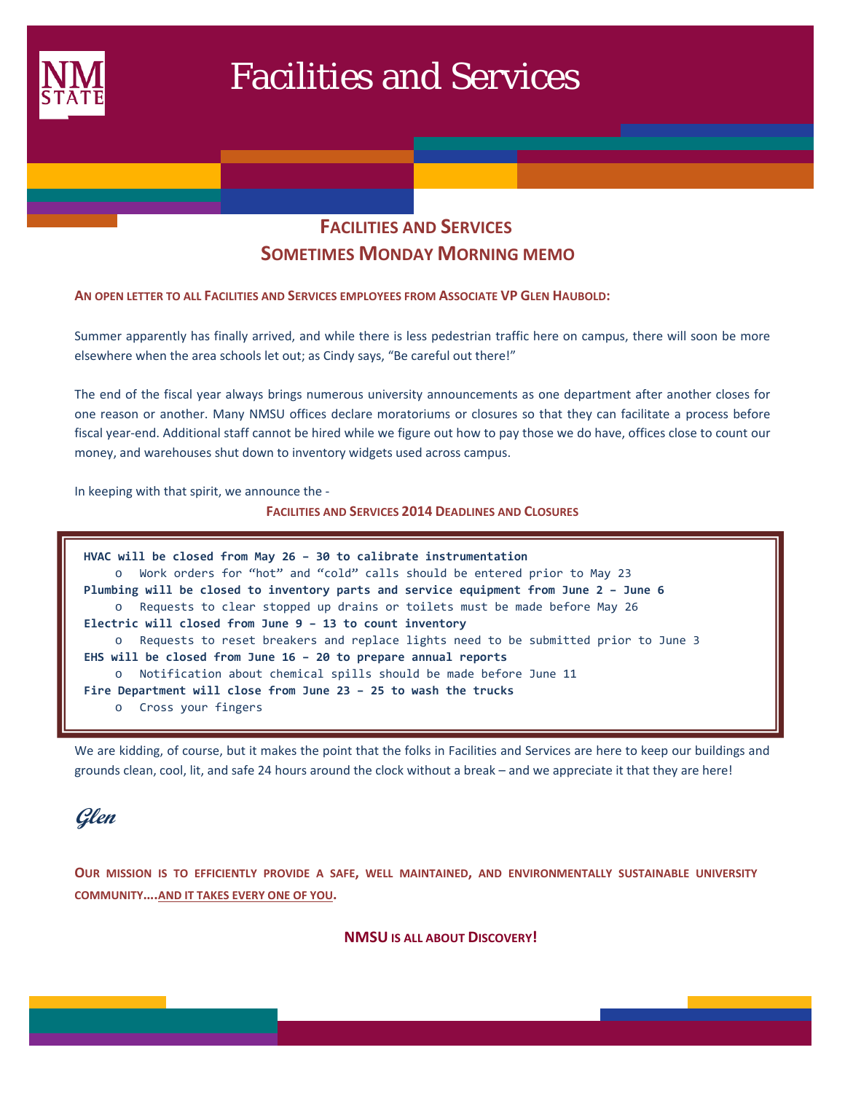

# Facilities and Services

# **FACILITIES AND SERVICES SOMETIMES MONDAY MORNING MEMO**

#### **AN OPEN LETTER TO ALL FACILITIES AND SERVICES EMPLOYEES FROM ASSOCIATE VP GLEN HAUBOLD:**

Summer apparently has finally arrived, and while there is less pedestrian traffic here on campus, there will soon be more elsewhere when the area schools let out; as Cindy says, "Be careful out there!"

The end of the fiscal year always brings numerous university announcements as one department after another closes for one reason or another. Many NMSU offices declare moratoriums or closures so that they can facilitate a process before fiscal year-end. Additional staff cannot be hired while we figure out how to pay those we do have, offices close to count our money, and warehouses shut down to inventory widgets used across campus.

In keeping with that spirit, we announce the ‐

#### **FACILITIES AND SERVICES 2014 DEADLINES AND CLOSURES**

| HVAC will be closed from May 26 - 30 to calibrate instrumentation                     |
|---------------------------------------------------------------------------------------|
| o Work orders for "hot" and "cold" calls should be entered prior to May 23            |
| Plumbing will be closed to inventory parts and service equipment from June 2 - June 6 |
| o Requests to clear stopped up drains or toilets must be made before May 26           |
| Electric will closed from June 9 - 13 to count inventory                              |
| o Requests to reset breakers and replace lights need to be submitted prior to June 3  |
| EHS will be closed from June $16 - 20$ to prepare annual reports                      |
| o Notification about chemical spills should be made before June 11                    |
| Fire Department will close from June 23 - 25 to wash the trucks                       |
| o Cross your fingers                                                                  |

We are kidding, of course, but it makes the point that the folks in Facilities and Services are here to keep our buildings and grounds clean, cool, lit, and safe 24 hours around the clock without a break – and we appreciate it that they are here!



**OUR MISSION IS TO EFFICIENTLY PROVIDE A SAFE, WELL MAINTAINED, AND ENVIRONMENTALLY SUSTAINABLE UNIVERSITY COMMUNITY….AND IT TAKES EVERY ONE OF YOU.**

**NMSU IS ALL ABOUT DISCOVERY!**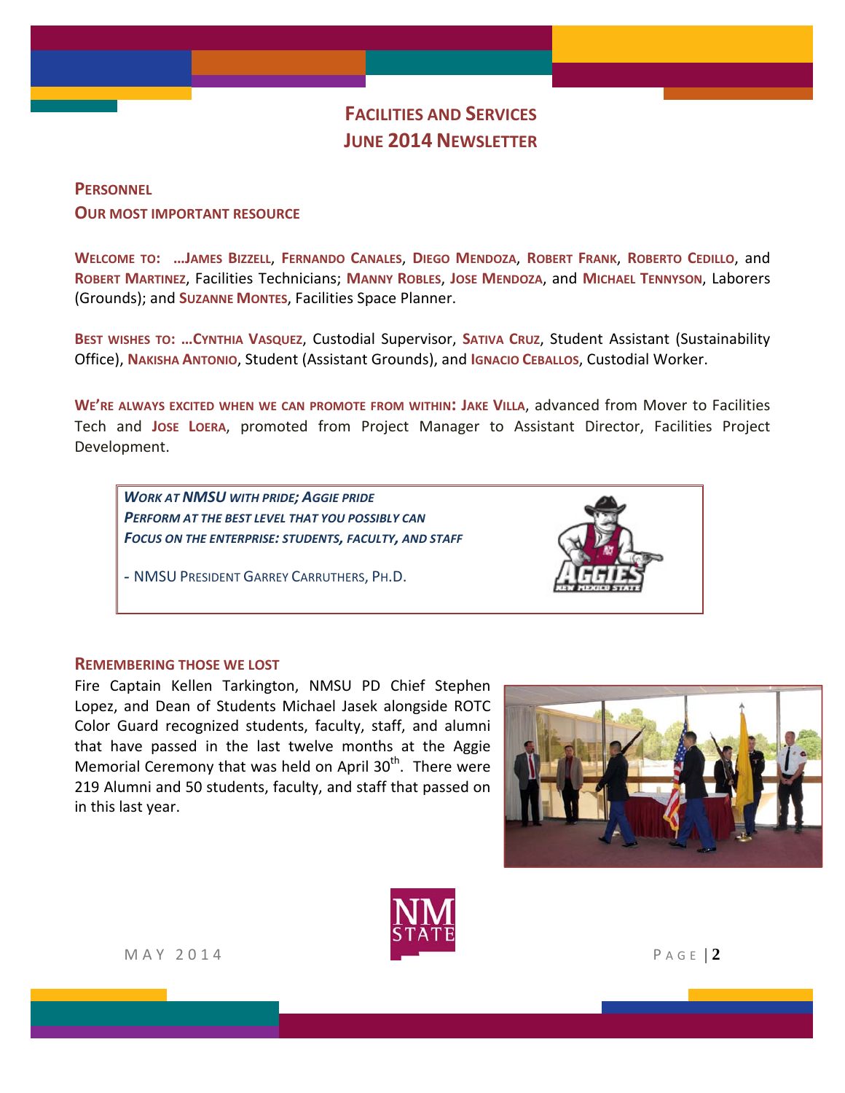# **FACILITIES AND SERVICES JUNE 2014 NEWSLETTER**

## **PERSONNEL OUR MOST IMPORTANT RESOURCE**

**WELCOME TO: …JAMES BIZZELL**, **FERNANDO CANALES**, **DIEGO MENDOZA**, **ROBERT FRANK**, **ROBERTO CEDILLO**, and **ROBERT MARTINEZ**, Facilities Technicians; **MANNY ROBLES**, **JOSE MENDOZA**, and **MICHAEL TENNYSON**, Laborers (Grounds); and **SUZANNE MONTES**, Facilities Space Planner.

**BEST WISHES TO: …CYNTHIA VASQUEZ**, Custodial Supervisor, **SATIVA CRUZ**, Student Assistant (Sustainability Office), **NAKISHA ANTONIO**, Student (Assistant Grounds), and **IGNACIO CEBALLOS**, Custodial Worker.

**WE'RE ALWAYS EXCITED WHEN WE CAN PROMOTE FROM WITHIN: JAKE VILLA**, advanced from Mover to Facilities Tech and **JOSE LOERA**, promoted from Project Manager to Assistant Director, Facilities Project Development.

*WORK AT NMSU WITH PRIDE; AGGIE PRIDE PERFORM AT THE BEST LEVEL THAT YOU POSSIBLY CAN FOCUS ON THE ENTERPRISE: STUDENTS, FACULTY, AND STAFF*

*-* NMSU PRESIDENT GARREY CARRUTHERS, PH.D.



#### **REMEMBERING THOSE WE LOST**

Fire Captain Kellen Tarkington, NMSU PD Chief Stephen Lopez, and Dean of Students Michael Jasek alongside ROTC Color Guard recognized students, faculty, staff, and alumni that have passed in the last twelve months at the Aggie Memorial Ceremony that was held on April  $30<sup>th</sup>$ . There were 219 Alumni and 50 students, faculty, and staff that passed on in this last year.





MAY 2014 **PAGE 2**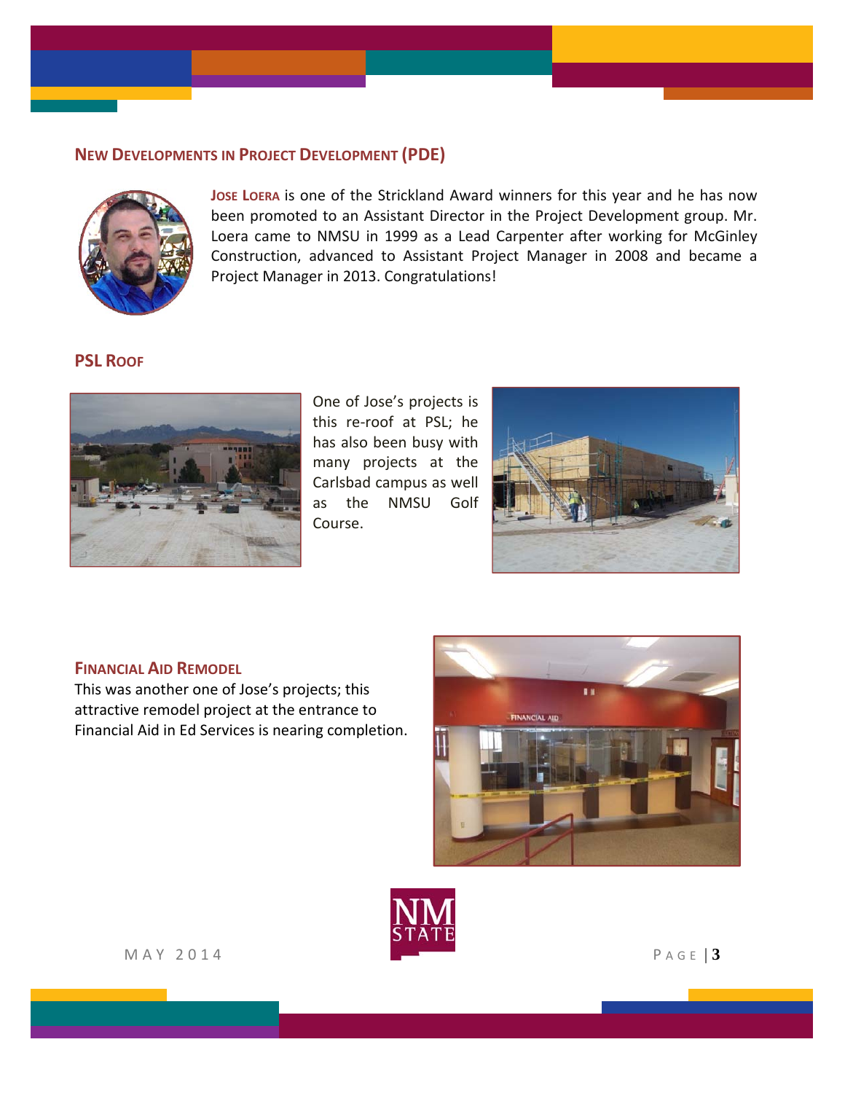## **NEW DEVELOPMENTS IN PROJECT DEVELOPMENT (PDE)**



**JOSE LOERA** is one of the Strickland Award winners for this year and he has now been promoted to an Assistant Director in the Project Development group. Mr. Loera came to NMSU in 1999 as a Lead Carpenter after working for McGinley Construction, advanced to Assistant Project Manager in 2008 and became a Project Manager in 2013. Congratulations!

#### **PSL ROOF**



One of Jose's projects is this re‐roof at PSL; he has also been busy with many projects at the Carlsbad campus as well as the NMSU Golf Course.



#### **FINANCIAL AID REMODEL**

This was another one of Jose's projects; this attractive remodel project at the entrance to Financial Aid in Ed Services is nearing completion.





MAY 2014 PAGE | **3**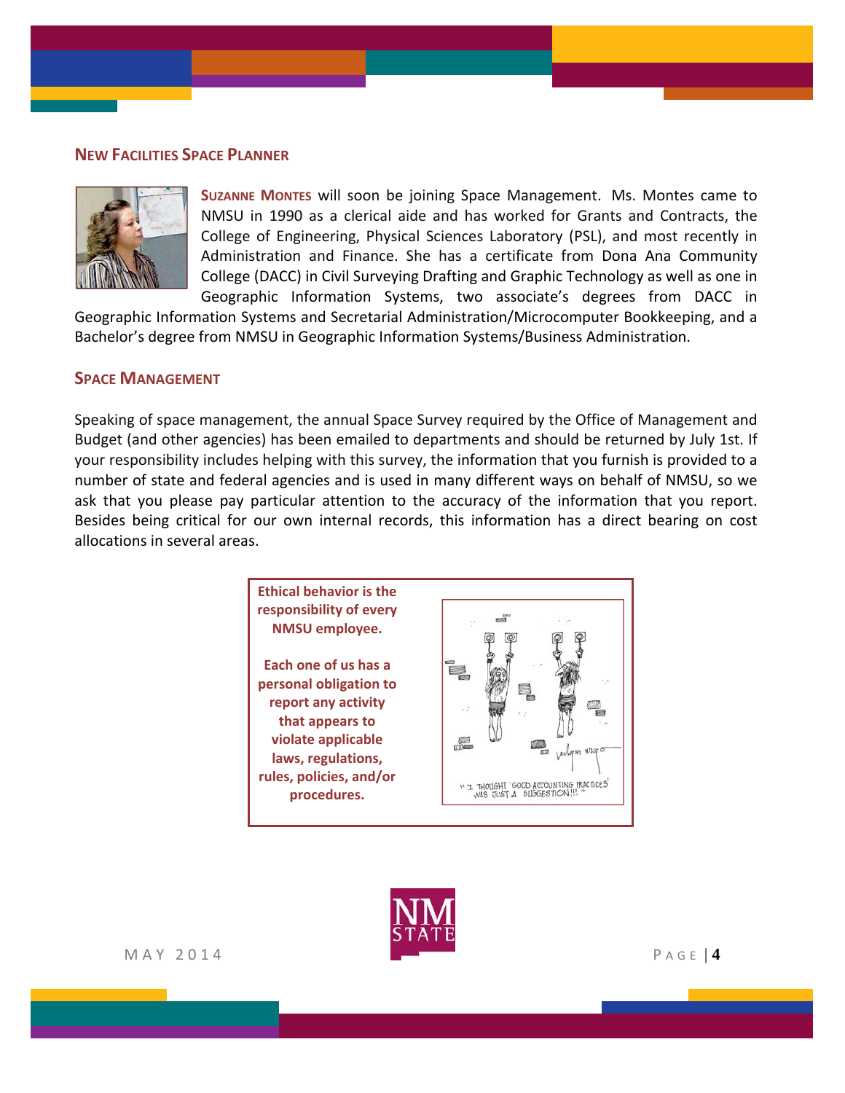#### **NEW FACILITIES SPACE PLANNER**



**SUZANNE MONTES** will soon be joining Space Management. Ms. Montes came to NMSU in 1990 as a clerical aide and has worked for Grants and Contracts, the College of Engineering, Physical Sciences Laboratory (PSL), and most recently in Administration and Finance. She has a certificate from Dona Ana Community College (DACC) in Civil Surveying Drafting and Graphic Technology as well as one in Geographic Information Systems, two associate's degrees from DACC in

Geographic Information Systems and Secretarial Administration/Microcomputer Bookkeeping, and a Bachelor's degree from NMSU in Geographic Information Systems/Business Administration.

#### **SPACE MANAGEMENT**

Speaking of space management, the annual Space Survey required by the Office of Management and Budget (and other agencies) has been emailed to departments and should be returned by July 1st. If your responsibility includes helping with this survey, the information that you furnish is provided to a number of state and federal agencies and is used in many different ways on behalf of NMSU, so we ask that you please pay particular attention to the accuracy of the information that you report. Besides being critical for our own internal records, this information has a direct bearing on cost allocations in several areas.



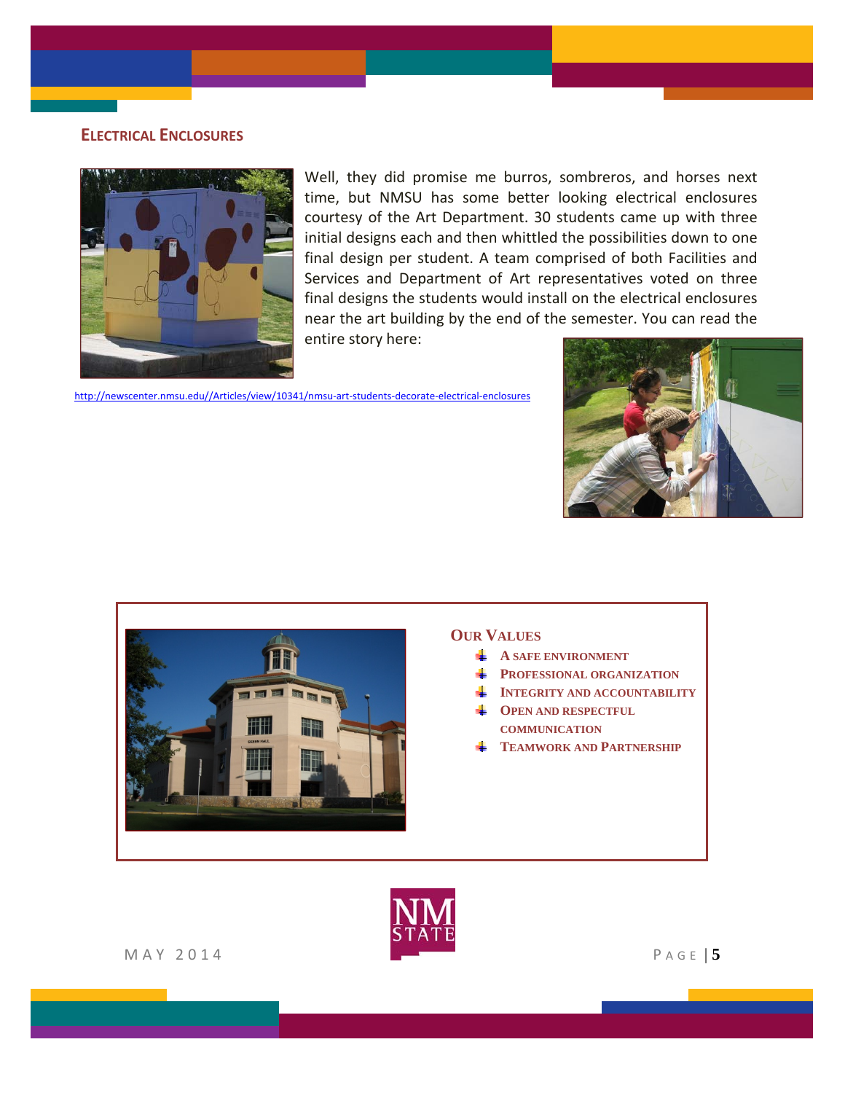### **ELECTRICAL ENCLOSURES**



Well, they did promise me burros, sombreros, and horses next time, but NMSU has some better looking electrical enclosures courtesy of the Art Department. 30 students came up with three initial designs each and then whittled the possibilities down to one final design per student. A team comprised of both Facilities and Services and Department of Art representatives voted on three final designs the students would install on the electrical enclosures near the art building by the end of the semester. You can read the entire story here:

http://newscenter.nmsu.edu//Articles/view/10341/nmsu‐art‐students‐decorate‐electrical‐enclosures





- **A SAFE ENVIRONMENT**
- **PROFESSIONAL ORGANIZATION**
- **INTEGRITY AND ACCOUNTABILITY**
- **OPEN AND RESPECTFUL COMMUNICATION**
- **TEAMWORK AND PARTNERSHIP**

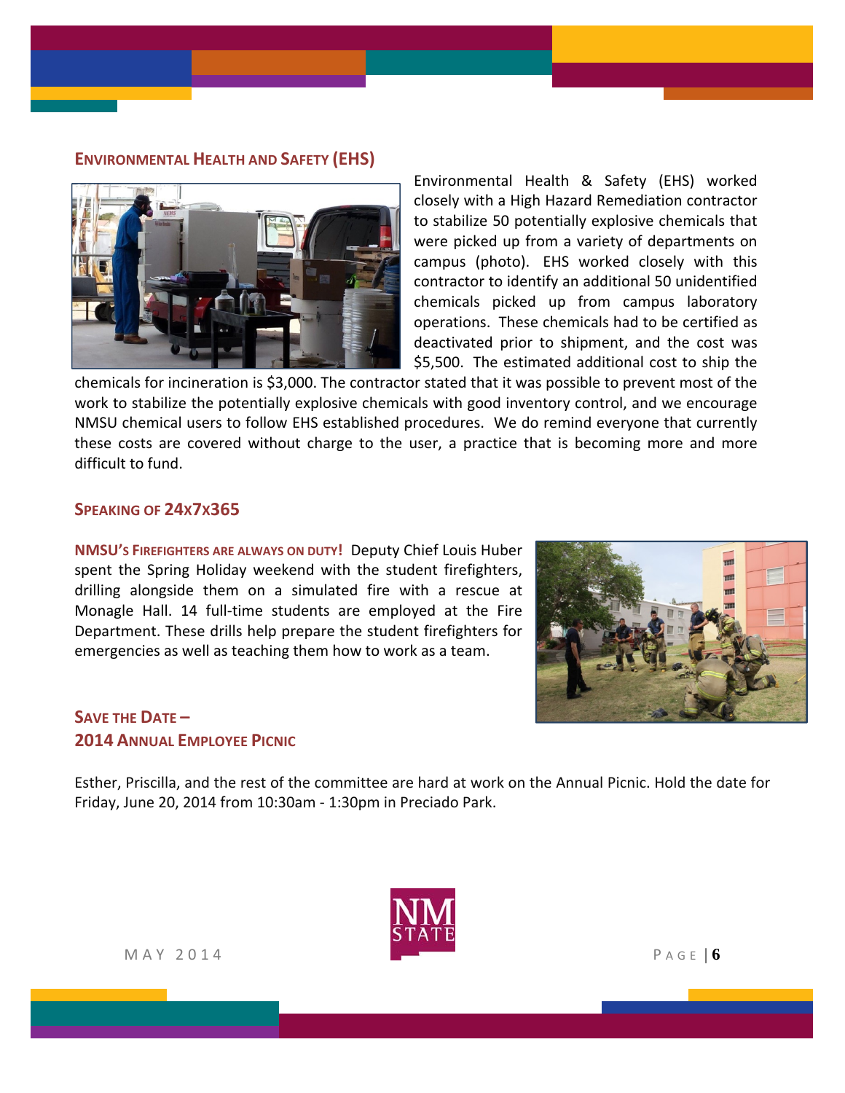#### **ENVIRONMENTAL HEALTH AND SAFETY (EHS)**



Environmental Health & Safety (EHS) worked closely with a High Hazard Remediation contractor to stabilize 50 potentially explosive chemicals that were picked up from a variety of departments on campus (photo). EHS worked closely with this contractor to identify an additional 50 unidentified chemicals picked up from campus laboratory operations. These chemicals had to be certified as deactivated prior to shipment, and the cost was \$5,500. The estimated additional cost to ship the

chemicals for incineration is \$3,000. The contractor stated that it was possible to prevent most of the work to stabilize the potentially explosive chemicals with good inventory control, and we encourage NMSU chemical users to follow EHS established procedures. We do remind everyone that currently these costs are covered without charge to the user, a practice that is becoming more and more difficult to fund.

#### **SPEAKING OF 24X7X365**

**NMSU'S FIREFIGHTERS ARE ALWAYS ON DUTY!** Deputy Chief Louis Huber spent the Spring Holiday weekend with the student firefighters, drilling alongside them on a simulated fire with a rescue at Monagle Hall. 14 full-time students are employed at the Fire Department. These drills help prepare the student firefighters for emergencies as well as teaching them how to work as a team.



# **SAVE THE DATE – 2014 ANNUAL EMPLOYEE PICNIC**

Esther, Priscilla, and the rest of the committee are hard at work on the Annual Picnic. Hold the date for Friday, June 20, 2014 from 10:30am ‐ 1:30pm in Preciado Park.

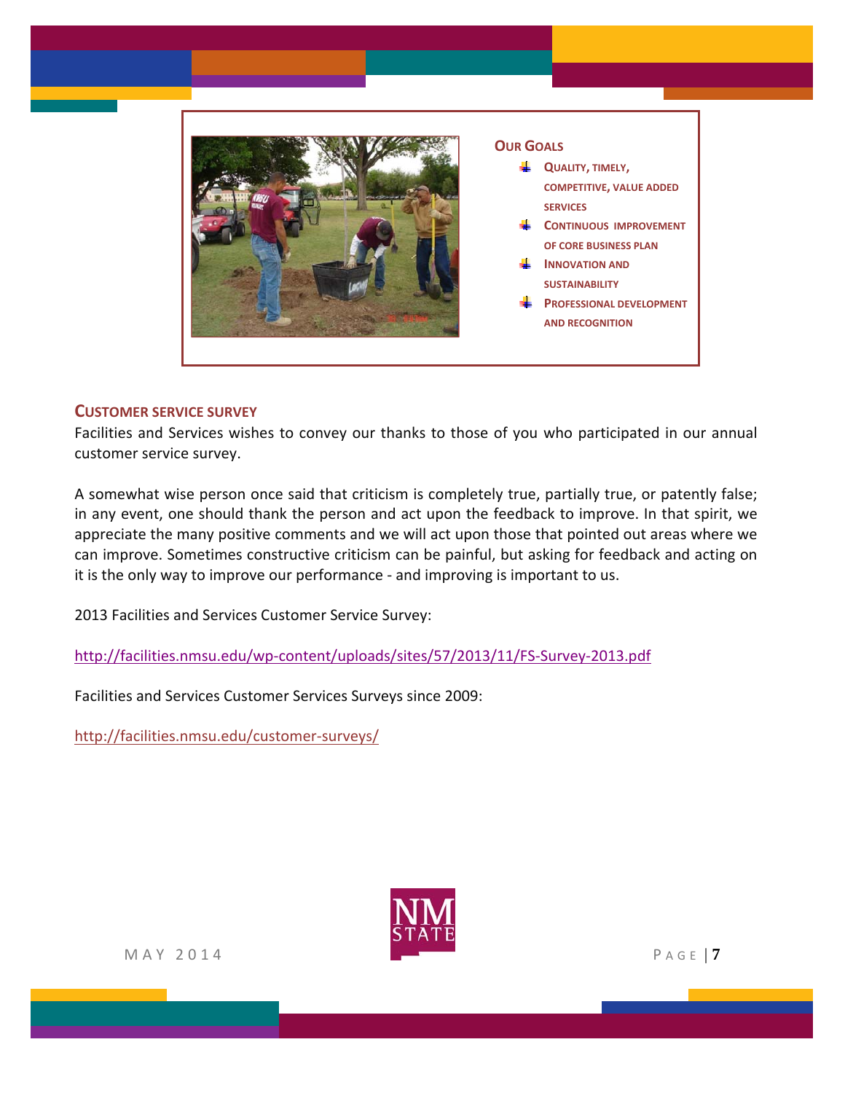

#### **CUSTOMER SERVICE SURVEY**

Facilities and Services wishes to convey our thanks to those of you who participated in our annual customer service survey.

A somewhat wise person once said that criticism is completely true, partially true, or patently false; in any event, one should thank the person and act upon the feedback to improve. In that spirit, we appreciate the many positive comments and we will act upon those that pointed out areas where we can improve. Sometimes constructive criticism can be painful, but asking for feedback and acting on it is the only way to improve our performance ‐ and improving is important to us.

2013 Facilities and Services Customer Service Survey:

http://facilities.nmsu.edu/wp‐[content/uploads/sites/57/2013/11/FS](http://facilities.nmsu.edu/wp-content/uploads/sites/57/2013/11/FS-Survey-2013.pdf)‐Survey‐2013.pdf

Facilities and Services Customer Services Surveys since 2009:

[http://facilities.nmsu.edu/customer](http://facilities.nmsu.edu/customer-surveys/)‐surveys/

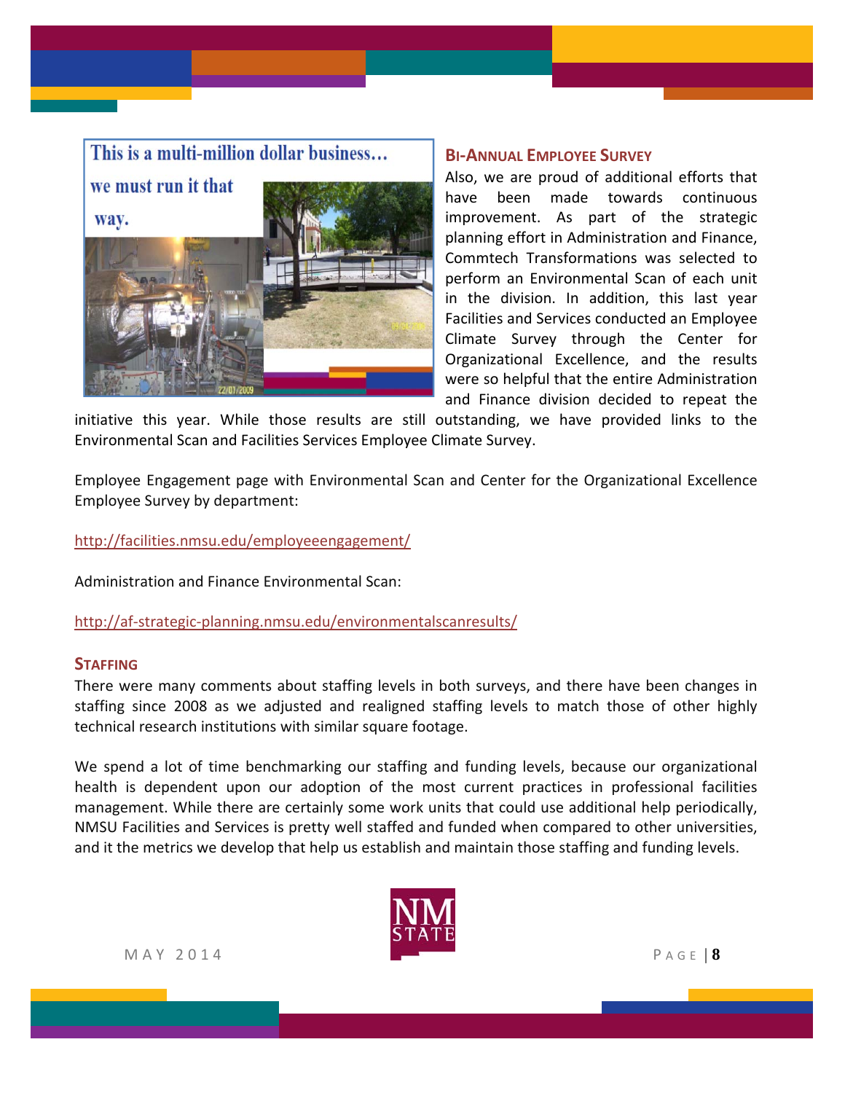

#### **BI‐ANNUAL EMPLOYEE SURVEY**

Also, we are proud of additional efforts that have been made towards continuous improvement. As part of the strategic planning effort in Administration and Finance, Commtech Transformations was selected to perform an Environmental Scan of each unit in the division. In addition, this last year Facilities and Services conducted an Employee Climate Survey through the Center for Organizational Excellence, and the results were so helpful that the entire Administration and Finance division decided to repeat the

initiative this year. While those results are still outstanding, we have provided links to the Environmental Scan and Facilities Services Employee Climate Survey.

Employee Engagement page with Environmental Scan and Center for the Organizational Excellence Employee Survey by department:

<http://facilities.nmsu.edu/employeeengagement/>

Administration and Finance Environmental Scan:

http://af-strategic-[planning.nmsu.edu/environmentalscanresults/](http://af-strategic-planning.nmsu.edu/environmentalscanresults/)

#### **STAFFING**

There were many comments about staffing levels in both surveys, and there have been changes in staffing since 2008 as we adjusted and realigned staffing levels to match those of other highly technical research institutions with similar square footage.

We spend a lot of time benchmarking our staffing and funding levels, because our organizational health is dependent upon our adoption of the most current practices in professional facilities management. While there are certainly some work units that could use additional help periodically, NMSU Facilities and Services is pretty well staffed and funded when compared to other universities, and it the metrics we develop that help us establish and maintain those staffing and funding levels.

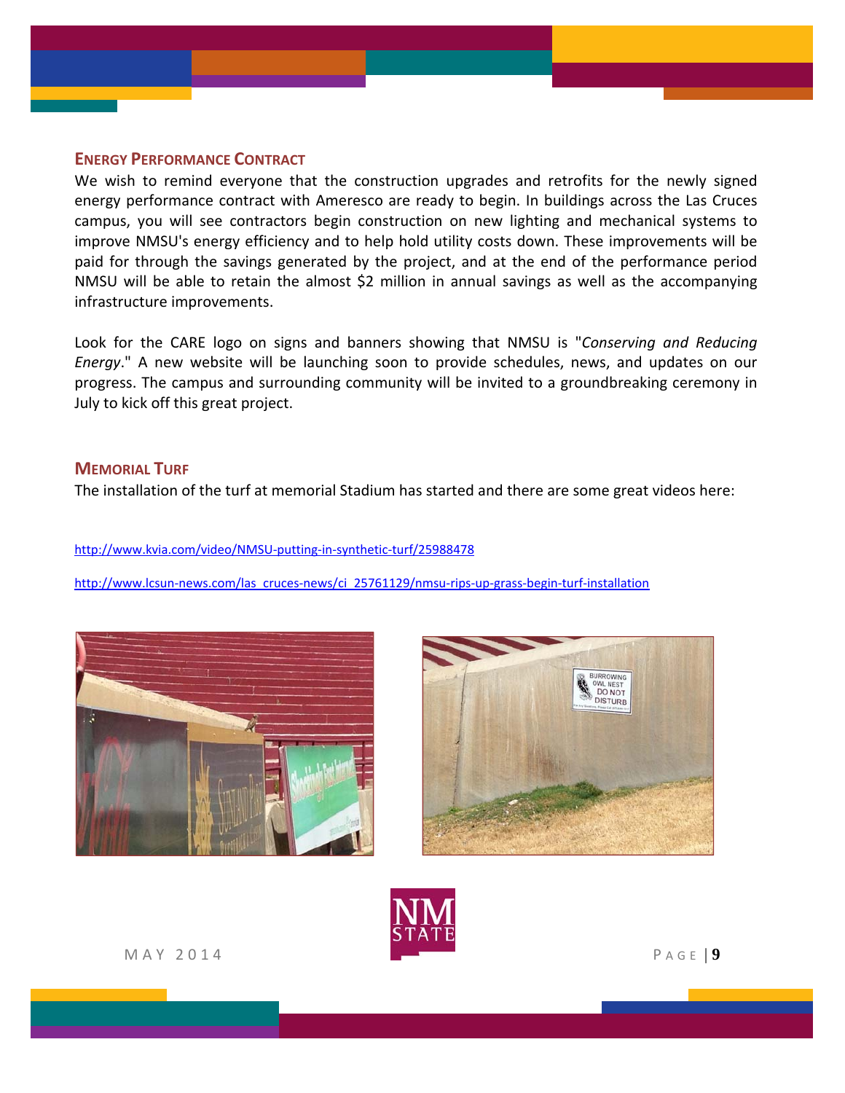#### **ENERGY PERFORMANCE CONTRACT**

We wish to remind everyone that the construction upgrades and retrofits for the newly signed energy performance contract with Ameresco are ready to begin. In buildings across the Las Cruces campus, you will see contractors begin construction on new lighting and mechanical systems to improve NMSU's energy efficiency and to help hold utility costs down. These improvements will be paid for through the savings generated by the project, and at the end of the performance period NMSU will be able to retain the almost \$2 million in annual savings as well as the accompanying infrastructure improvements.

Look for the CARE logo on signs and banners showing that NMSU is "*Conserving and Reducing Energy*." A new website will be launching soon to provide schedules, news, and updates on our progress. The campus and surrounding community will be invited to a groundbreaking ceremony in July to kick off this great project.

#### **MEMORIAL TURF**

The installation of the turf at memorial Stadium has started and there are some great videos here:

http://www.kvia.com/video/NMSU‐putting‐in‐synthetic‐turf/25988478

http://www.lcsun-news.com/las\_cruces-[news/ci\\_25761129/nmsu](http://www.lcsun-news.com/las_cruces-news/ci_25761129/nmsu-rips-up-grass-begin-turf-installation)-rips-up-grass-begin-turf-installation